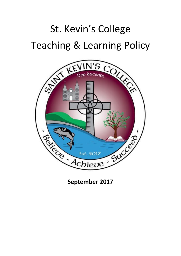# St. Kevin's College

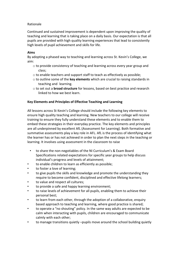# Rationale

Continued and sustained improvement is dependent upon improving the quality of teaching and learning that is taking place on a daily basis. Our expectation is that all pupils are provided with high quality learning experiences that lead to consistently high levels of pupil achievement and skills for life.

## **Aims**

By adopting a phased way to teaching and learning across St. Kevin's College, we aim:

- o to provide consistency of teaching and learning across every year group and class;
- o to enable teachers and support staff to teach as effectively as possible;
- o to outline some of the **key elements** which are crucial to raising standards in teaching and learning.
- o to set out a **broad structure** for lessons, based on best practice and research linked to how we best learn.

## **Key Elements and Principles of Effective Teaching and Learning**

All lessons across St Kevin's College should include the following key elements to ensure high quality teaching and learning. New teachers to our college will receive training to ensure they fully understand these elements and to enable them to embed these strategies in their everyday practice. The key elements and principles are all underpinned by excellent AfL (Assessment for Learning). Both formative and summative assessments play a key role in AFL. AfL is the process of identifying what the learner has or has not achieved in order to plan the next steps in the teaching or learning. It involves using assessment in the classroom to raise

- to share the non-negotiables of the NI Curriculum's & Exam Board Specifications related expectations for specific year groups to help discuss individual's progress and levels of attainment;
- to enable children to learn as efficiently as possible;
- to foster a love of learning;
- to give pupils the skills and knowledge and promote the understanding they require to become confident, disciplined and effective lifelong learners;
- to value and respect all cultures;
- to provide a safe and happy learning environment;
- to raise levels of achievement for all pupils, enabling them to achieve their personal best;
- to learn from each other, through the adoption of a collaborative, enquiry based approach to teaching and learning, where good practice is shared;
- to operate a "no shouting" policy. In the same way adults are expected to be calm when interacting with pupils, children are encouraged to communicate calmly with each other;
- to manage transitions quietly –pupils move around the school building quietly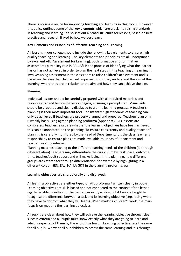There is no single recipe for improving teaching and learning in classroom. However, this policy outlines some of the **key elements** which are crucial to raising standards in teaching and learning. It also sets out a **broad structure** for lessons, based on best practice and research linked to how we best learn.

## **Key Elements and Principles of Effective Teaching and Learning**

All lessons in our college should include the following key elements to ensure high quality teaching and learning. The key elements and principles are all underpinned by excellent AfL (Assessment for Learning). Both formative and summative assessments play a key role in AFL. AfL is the process of identifying what the learner has or has not achieved in order to plan the next steps in the teaching or learning. It involves using assessment in the classroom to raise children's achievement and is based on the idea that children will improve most if they understand the aim of their learning, where they are in relation to the aim and how they can achieve the aim.

# **Planning**

Individual lessons should be carefully prepared with all required materials and resources to hand before the lesson begins, ensuring a prompt start. Visual aids should be prepared and clearly displayed to aid the learning process. A teacher's planning is their most important tool. Consistently high standards of teaching can only be achieved if teachers are properly planned and prepared. Teachers plan on a 6 weekly basis using agreed planning proforma (Appendix 2). As lessons are completed, teachers evaluate whether the learning objectives have been achieved, this can be annotated on the planning. To ensure consistency and quality, teachers' planning is carefully monitored by the Head of Department. It is the class teacher's responsibility to ensure plans are made available to Heads of Department and teacher covering release.

Planning matches teaching to the different learning needs of the children (ie through differentiation).Teachers may differentiate the curriculum by: task, pace, outcome, time, teacher/adult support and will make it clear in the planning, how different groups are catered for through differentiation, for example by highlighting in a different colour, SEN, EAL, HA, LA G&T in the planning proforma, etc.

## **Learning objectives are shared orally and displayed:**

All learning objectives are either typed on AfL proforma / written clearly in books. Learning objectives are skills based and not connected to the context of the lesson (eg: to be able to write complex sentences in my writing). Children are taught to recognise the difference between a task and its learning objective (separating what they have to do from what they will learn). When marking children's work, the main focus is on meeting the learning objectives.

All pupils are clear about how they will achieve the learning objective through clear success criteria and all pupils must know exactly what they are going to learn and what is expected of them by the end of the lesson. Learning objectives are the same for all pupils. We want all our children to access the same learning and it is through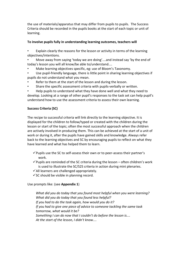the use of materials/apparatus that may differ from pupils to pupils. The Success Criteria should be recorded in the pupils books at the start of each topic or unit of learning.

# **To involve pupils fully in understanding learning outcomes, teachers will**

• Explain clearly the reasons for the lesson or activity in terms of the learning objectives/intentions.

• Move away from saying 'today we are doing'....and instead say 'by the end of today's lesson you will all know/be able to/understand....

- Make learning objectives specific, eg: use of Bloom's Taxonomy.
- Use pupil-friendly language, there is little point in sharing learning objectives if pupils do not understand what you mean.
- Refer to them at the start of the lesson and during the lesson.
- Share the specific assessment criteria with pupils-verbally or written.

• Help pupils to understand what they have done well and what they need to develop. Looking at a range of other pupil's responses to the task set can help pupil's understand how to use the assessment criteria to assess their own learning.

# **Success Criteria (SC)**

The recipe to successful criteria will link directly to the learning objective. It is displayed for the children to follow/typed or created with the children during the lesson or start of the topic; often the most successful approach when the children are actively involved in producing them. This can be achieved at the start of a unit of work or during it, after the pupils have gained skills and knowledge. Always refer back to the learning objectives and SC by encouraging pupils to reflect on what they have learned and what has helped them to learn.

- $\checkmark$  Pupils use the SC to self-assess their own or to peer-assess their partner's work.
- $\checkmark$  Pupils are reminded of the SC criteria during the lesson often children's work is used to illustrate the SC/S2S criteria in action during mini plenaries.
- $\checkmark$  All learners are challenged appropriately.
- $\checkmark$  SC should be visible in planning record.

## Use prompts like: (see **Appendix 1**)

*What did you do today that you found most helpful when you were learning? What did you do today that you found less helpful? If you had to do the task again, how would you do it? If you had to give one piece of advice to someone tackling the same task tomorrow, what would it be? Something I can do now that I couldn't do before the lesson is.... At the start of the lesson, I didn't know....*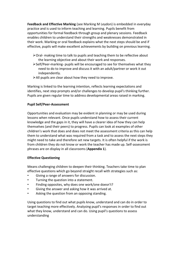**Feedback and Effective Marking** (see Marking M Leydon) is embedded in everyday practice and is used to inform teaching and learning. Pupils benefit from opportunities for formal feedback through group and plenary sessions. Feedback enables children to understand their strengths and weaknesses demonstrated in their work. Marking or oral feedback explains what the next steps should be and if effective, pupils will make excellent achievements by building on previous learning.

- $\triangleright$  Oral- making time to talk to pupils and teaching them to be reflective about the learning objective and about their work and responses.
- $\triangleright$  Self/Peer-marking- pupils will be encouraged to see for themselves what they need to do to improve and discuss it with an adult/partner or work it out independently.
- $\triangleright$  All pupils are clear about how they need to improve.

Marking is linked to the learning intention, reflects learning expectations and identifies, next step prompts and/or challenges to develop pupil's thinking further. Pupils are given regular time to address developmental areas raised in marking.

#### **Pupil Self/Peer-Assessment**

Opportunities and evaluation may be evident in planning or may be used during lessons when relevant. Once pupils understand how to assess their current knowledge and the gaps in it, they will have a clearer idea of how they can help themselves (and their peers) to progress. Pupils can look at examples of other children's work that does and does not meet the assessment criteria as this can help them to understand what was required from a task and to assess the next steps they might need to take and therefore set new targets. It is often helpful if the work is from children they do not know or work the teacher has made up. Self-assessment phrases are on display in all classrooms (**Appendix 1**).

#### **Effective Questioning**

Means challenging children to deepen their thinking. Teachers take time to plan effective questions which go beyond straight recall with strategies such as:

- Giving a range of answers for discussion.
- Turning the question into a statement.
- Finding opposites, why does one work/one doesn't?
- Giving the answer and asking how it was arrived at.
- Asking the question from an opposing standing.

Using questions to find out what pupils know, understand and can do in order to target teaching more effectively. Analysing pupil's responses in order to find out what they know, understand and can do. Using pupil's questions to assess understanding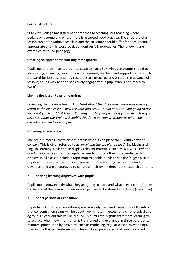#### **Lesson Structure**

St Kevin's College has different approaches to teaching, but teaching where pedagogy is sound and where there is accepted good practice. The structure of a lesson can differ within each class and the structure should differ for each lesson, if appropriate and this could be dependent on AfL approaches. The following are examples of sound pedagogy:-

### **Creating an appropriate working atmosphere:**

Pupils need to be in an appropriate state to learn. St Kevin's classrooms should be stimulating, engaging, reassuring and organised; teachers and support staff are fully prepared for lessons, ensuring resources are prepared and on tables in advance of lessons; adults may need to sensitively engage with a pupil who is not 'ready to learn'

## **Linking the lesson to prior learning:**

reviewing the previous lesson. Eg: *'Think about the three most important things you learnt in the last lesson – now tell your partner..... In two minutes, I am going to ask you what you learnt last lesson. You may talk to your partner if you wish.....Today's lesson is about the Weimar Republic. Jot down on your whiteboards what you already know and work in pairs'.*

#### **Providing an overview:**

The brain is more likely to absorb details when it can place them within a wider context. This is often referred to as *'providing the big picture first'.* Eg: Maths and English Learning Walls should display relevant materials, such as WAGOLLS (*what a good one looks like*) that the pupils can use to improve their independence. IPC displays in all classes include a topic map to enable pupils to see the 'bigger picture'. Pupils add their own questions and answers to the learning map (as the unit develops) and are encouraged to carry out their own independent research at home.

## • **Sharing learning objectives with pupils**:

Pupils must know exactly what they are going to learn and what is expected of them by the end of the lesson. For learning objectives to be shared effectively (see above).

## • **Short periods of exposition**:

Pupils have limited concentration spans. A widely used and useful rule of thumb is that concentration spans will be about two minutes in excess of a chronological age eg for a 13 year old this will be around 15 bursts etc. Significantly more learning will take place when new information is transferred and explained in three bursts of ten minutes, punctuated by activities (such as modelling, regular closed questioning), than in one thirty-minute session. This will keep pupils alert and provide instant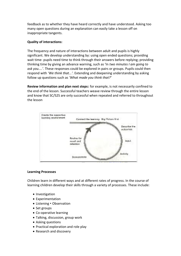feedback as to whether they have heard correctly and have understood. Asking too many open questions during an explanation can easily take a lesson off on inappropriate tangents.

# **Quality of interactions:**

The frequency and nature of interactions between adult and pupils is highly significant. We develop understanding by: using open ended questions; providing wait time- pupils need time to think through their answers before replying; providing thinking time by giving an advance warning, such as 'In *two minutes I am going to ask you....'.* These responses could be explored in pairs or groups. Pupils could then respond with *'We think that...'.* Extending and deepening understanding by asking follow up questions such as *'What made you think that?'*

**Review information and plan next steps:** for example, is not necessarily confined to the end of the lesson. Successful teachers weave review through the entire lesson and know that SC/S2S are only successful when repeated and referred to throughout the lesson



## **Learning Processes**

Children learn in different ways and at different rates of progress. In the course of learning children develop their skills through a variety of processes. These include:

- Investigation
- Experimentation
- Listening Observation
- Set groups
- Co-operative learning
- Talking, discussion, group work
- Asking questions
- Practical exploration and role play
- Research and discovery